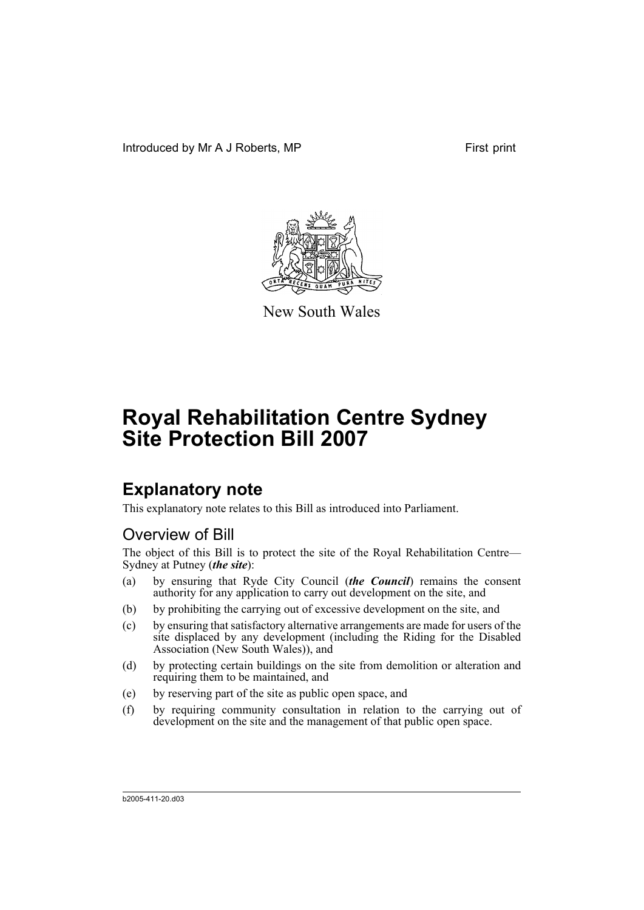Introduced by Mr A J Roberts, MP First print



New South Wales

# **Royal Rehabilitation Centre Sydney Site Protection Bill 2007**

## **Explanatory note**

This explanatory note relates to this Bill as introduced into Parliament.

## Overview of Bill

The object of this Bill is to protect the site of the Royal Rehabilitation Centre— Sydney at Putney (*the site*):

- (a) by ensuring that Ryde City Council (*the Council*) remains the consent authority for any application to carry out development on the site, and
- (b) by prohibiting the carrying out of excessive development on the site, and
- (c) by ensuring that satisfactory alternative arrangements are made for users of the site displaced by any development (including the Riding for the Disabled Association (New South Wales)), and
- (d) by protecting certain buildings on the site from demolition or alteration and requiring them to be maintained, and
- (e) by reserving part of the site as public open space, and
- (f) by requiring community consultation in relation to the carrying out of development on the site and the management of that public open space.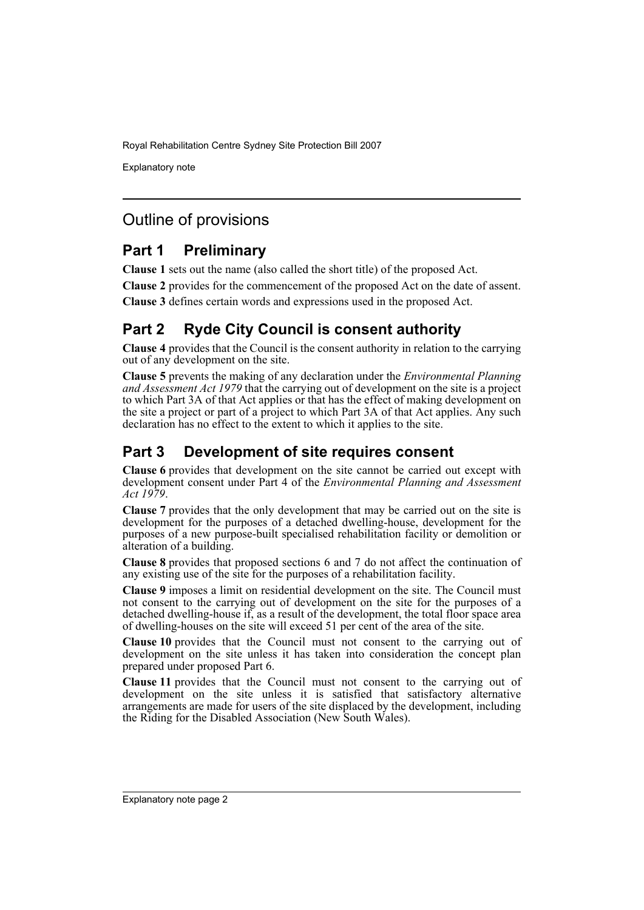Explanatory note

## Outline of provisions

## **Part 1 Preliminary**

**Clause 1** sets out the name (also called the short title) of the proposed Act.

**Clause 2** provides for the commencement of the proposed Act on the date of assent.

**Clause 3** defines certain words and expressions used in the proposed Act.

## **Part 2 Ryde City Council is consent authority**

**Clause 4** provides that the Council is the consent authority in relation to the carrying out of any development on the site.

**Clause 5** prevents the making of any declaration under the *Environmental Planning and Assessment Act 1979* that the carrying out of development on the site is a project to which Part 3A of that Act applies or that has the effect of making development on the site a project or part of a project to which Part 3A of that Act applies. Any such declaration has no effect to the extent to which it applies to the site.

## **Part 3 Development of site requires consent**

**Clause 6** provides that development on the site cannot be carried out except with development consent under Part 4 of the *Environmental Planning and Assessment Act 1979*.

**Clause 7** provides that the only development that may be carried out on the site is development for the purposes of a detached dwelling-house, development for the purposes of a new purpose-built specialised rehabilitation facility or demolition or alteration of a building.

**Clause 8** provides that proposed sections 6 and 7 do not affect the continuation of any existing use of the site for the purposes of a rehabilitation facility.

**Clause 9** imposes a limit on residential development on the site. The Council must not consent to the carrying out of development on the site for the purposes of a detached dwelling-house if, as a result of the development, the total floor space area of dwelling-houses on the site will exceed 51 per cent of the area of the site.

**Clause 10** provides that the Council must not consent to the carrying out of development on the site unless it has taken into consideration the concept plan prepared under proposed Part 6.

**Clause 11** provides that the Council must not consent to the carrying out of development on the site unless it is satisfied that satisfactory alternative arrangements are made for users of the site displaced by the development, including the Riding for the Disabled Association (New South Wales).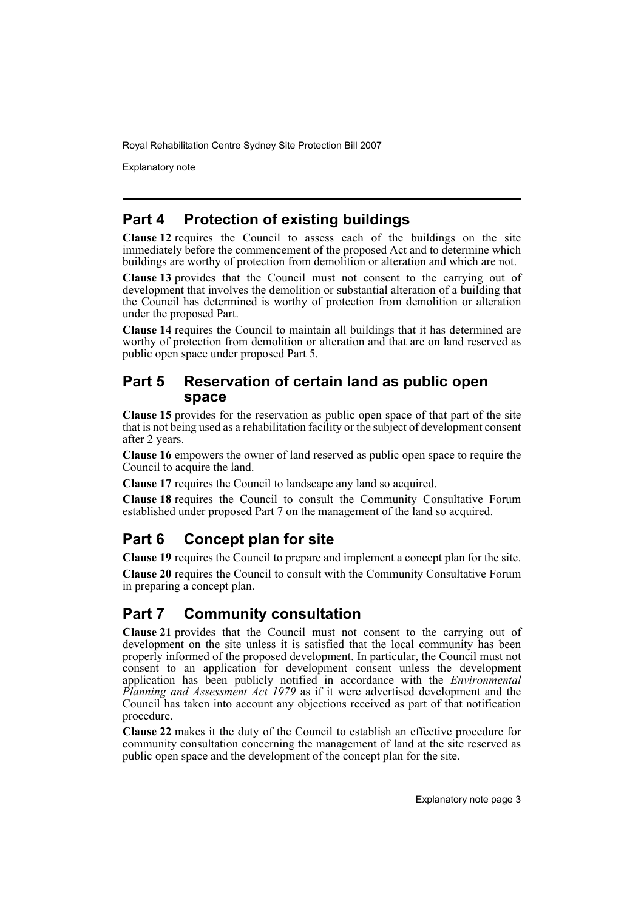Explanatory note

## **Part 4 Protection of existing buildings**

**Clause 12** requires the Council to assess each of the buildings on the site immediately before the commencement of the proposed Act and to determine which buildings are worthy of protection from demolition or alteration and which are not.

**Clause 13** provides that the Council must not consent to the carrying out of development that involves the demolition or substantial alteration of a building that the Council has determined is worthy of protection from demolition or alteration under the proposed Part.

**Clause 14** requires the Council to maintain all buildings that it has determined are worthy of protection from demolition or alteration and that are on land reserved as public open space under proposed Part 5.

### **Part 5 Reservation of certain land as public open space**

**Clause 15** provides for the reservation as public open space of that part of the site that is not being used as a rehabilitation facility or the subject of development consent after 2 years.

**Clause 16** empowers the owner of land reserved as public open space to require the Council to acquire the land.

**Clause 17** requires the Council to landscape any land so acquired.

**Clause 18** requires the Council to consult the Community Consultative Forum established under proposed Part 7 on the management of the land so acquired.

## **Part 6 Concept plan for site**

**Clause 19** requires the Council to prepare and implement a concept plan for the site.

**Clause 20** requires the Council to consult with the Community Consultative Forum in preparing a concept plan.

## **Part 7 Community consultation**

**Clause 21** provides that the Council must not consent to the carrying out of development on the site unless it is satisfied that the local community has been properly informed of the proposed development. In particular, the Council must not consent to an application for development consent unless the development application has been publicly notified in accordance with the *Environmental Planning and Assessment Act 1979* as if it were advertised development and the Council has taken into account any objections received as part of that notification procedure.

**Clause 22** makes it the duty of the Council to establish an effective procedure for community consultation concerning the management of land at the site reserved as public open space and the development of the concept plan for the site.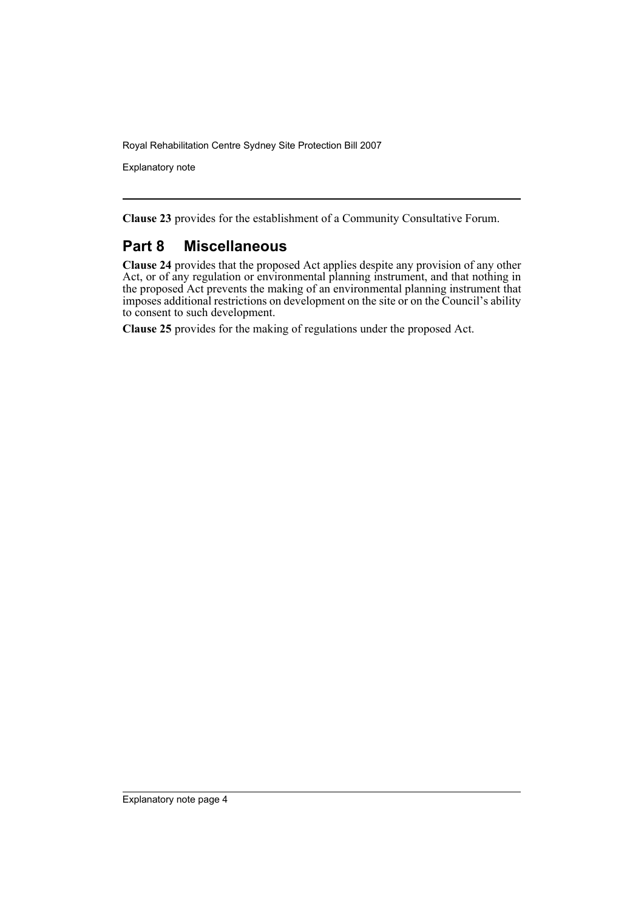Explanatory note

**Clause 23** provides for the establishment of a Community Consultative Forum.

### **Part 8 Miscellaneous**

**Clause 24** provides that the proposed Act applies despite any provision of any other Act, or of any regulation or environmental planning instrument, and that nothing in the proposed Act prevents the making of an environmental planning instrument that imposes additional restrictions on development on the site or on the Council's ability to consent to such development.

**Clause 25** provides for the making of regulations under the proposed Act.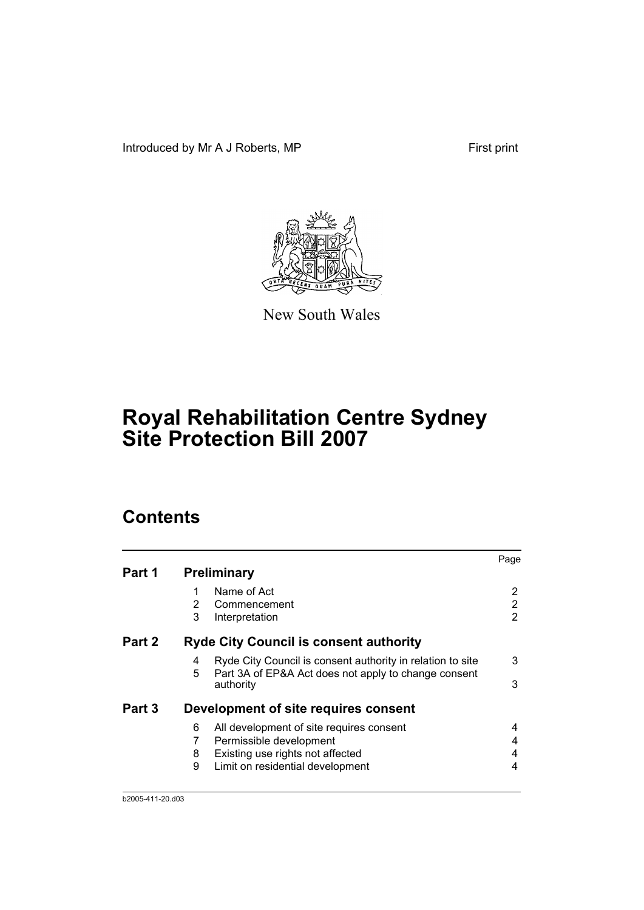Introduced by Mr A J Roberts, MP First print



New South Wales

# **Royal Rehabilitation Centre Sydney Site Protection Bill 2007**

## **Contents**

|        |                    |                                                                                                                    | Page |
|--------|--------------------|--------------------------------------------------------------------------------------------------------------------|------|
| Part 1 | <b>Preliminary</b> |                                                                                                                    |      |
|        |                    | Name of Act                                                                                                        |      |
|        | 2                  | Commencement                                                                                                       | 2    |
|        | 3                  | Interpretation                                                                                                     | 2    |
| Part 2 |                    | <b>Ryde City Council is consent authority</b>                                                                      |      |
|        | 4<br>5             | Ryde City Council is consent authority in relation to site<br>Part 3A of EP&A Act does not apply to change consent | 3    |
|        | authority          |                                                                                                                    | 3    |
| Part 3 |                    | Development of site requires consent                                                                               |      |
|        | 6                  | All development of site requires consent                                                                           | 4    |
|        | 7                  | Permissible development                                                                                            | 4    |
|        | 8                  | Existing use rights not affected                                                                                   | 4    |
|        | 9                  | Limit on residential development                                                                                   | 4    |
|        |                    |                                                                                                                    |      |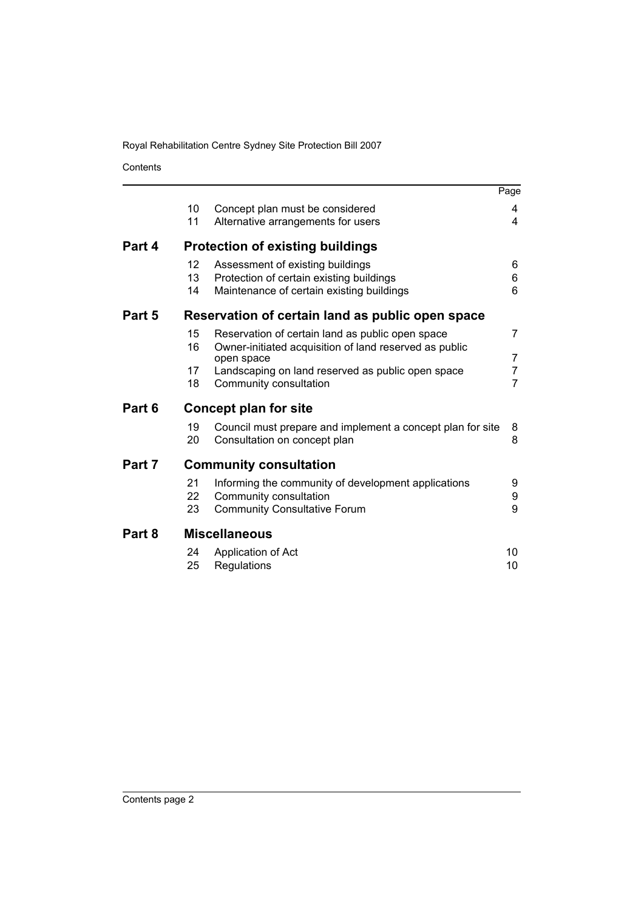Contents

|        |                                                  |                                                                      | Page |
|--------|--------------------------------------------------|----------------------------------------------------------------------|------|
|        | 10                                               | Concept plan must be considered                                      | 4    |
|        | 11                                               | Alternative arrangements for users                                   | 4    |
| Part 4 |                                                  | <b>Protection of existing buildings</b>                              |      |
|        | $12 \overline{ }$                                | Assessment of existing buildings                                     | 6    |
|        | 13                                               | Protection of certain existing buildings                             | 6    |
|        | 14                                               | Maintenance of certain existing buildings                            | 6    |
| Part 5 | Reservation of certain land as public open space |                                                                      |      |
|        | 15                                               | Reservation of certain land as public open space                     | 7    |
|        | 16                                               | Owner-initiated acquisition of land reserved as public<br>open space | 7    |
|        | 17                                               | Landscaping on land reserved as public open space                    | 7    |
|        | 18                                               | Community consultation                                               | 7    |
| Part 6 |                                                  | <b>Concept plan for site</b>                                         |      |
|        | 19                                               | Council must prepare and implement a concept plan for site           | 8    |
|        | 20                                               | Consultation on concept plan                                         | 8    |
| Part 7 |                                                  | <b>Community consultation</b>                                        |      |
|        | 21                                               | Informing the community of development applications                  | 9    |
|        | 22                                               | Community consultation                                               | 9    |
|        | 23                                               | <b>Community Consultative Forum</b>                                  | 9    |
| Part 8 | <b>Miscellaneous</b>                             |                                                                      |      |
|        | 24                                               | Application of Act                                                   | 10   |
|        | 25                                               | Regulations                                                          | 10   |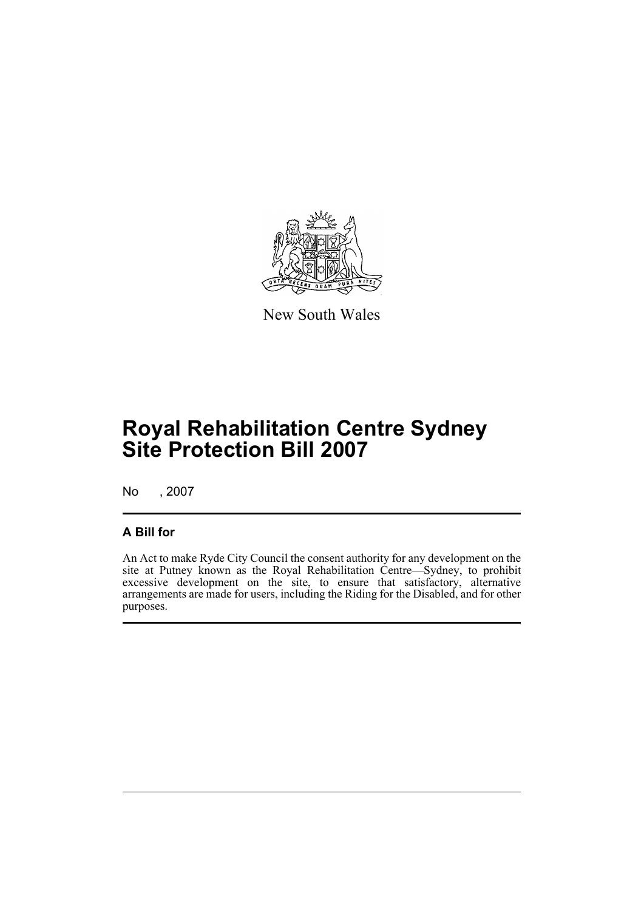

New South Wales

## **Royal Rehabilitation Centre Sydney Site Protection Bill 2007**

No , 2007

### **A Bill for**

An Act to make Ryde City Council the consent authority for any development on the site at Putney known as the Royal Rehabilitation Centre—Sydney, to prohibit excessive development on the site, to ensure that satisfactory, alternative arrangements are made for users, including the Riding for the Disabled, and for other purposes.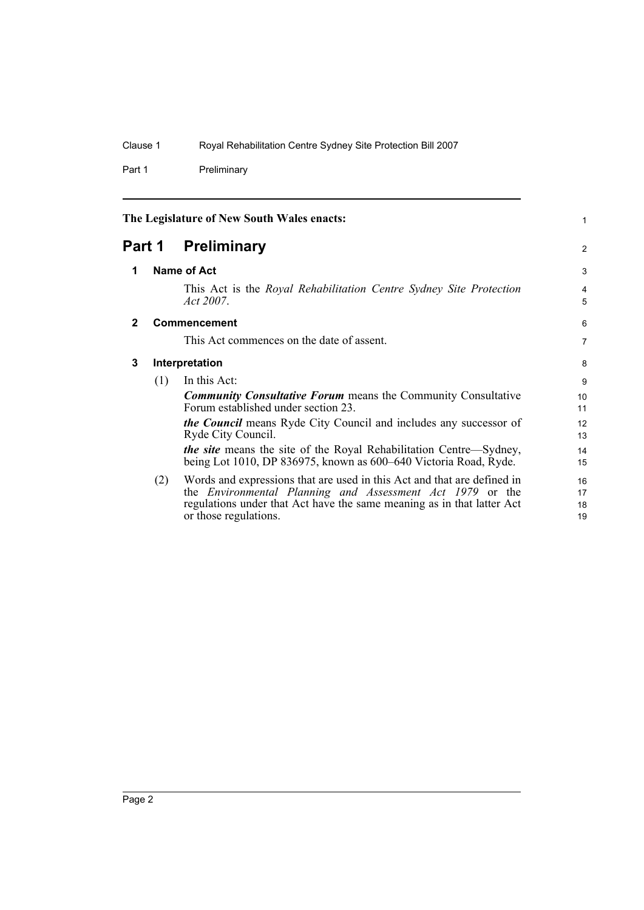Part 1 Preliminary

<span id="page-7-3"></span><span id="page-7-2"></span><span id="page-7-1"></span><span id="page-7-0"></span>

| The Legislature of New South Wales enacts: |     |                                                                                                                                                                                                                                                | $\mathbf{1}$         |
|--------------------------------------------|-----|------------------------------------------------------------------------------------------------------------------------------------------------------------------------------------------------------------------------------------------------|----------------------|
| Part 1                                     |     | Preliminary                                                                                                                                                                                                                                    |                      |
| 1                                          |     | Name of Act                                                                                                                                                                                                                                    |                      |
|                                            |     | This Act is the Royal Rehabilitation Centre Sydney Site Protection<br>Act 2007.                                                                                                                                                                | 4<br>5               |
| $\mathbf{2}$                               |     | <b>Commencement</b>                                                                                                                                                                                                                            | 6                    |
|                                            |     | This Act commences on the date of assent.                                                                                                                                                                                                      | $\overline{7}$       |
| 3                                          |     | Interpretation                                                                                                                                                                                                                                 |                      |
|                                            | (1) | In this Act:                                                                                                                                                                                                                                   | 9                    |
|                                            |     | <b>Community Consultative Forum</b> means the Community Consultative<br>Forum established under section 23.                                                                                                                                    | 10<br>11             |
|                                            |     | <i>the Council</i> means Ryde City Council and includes any successor of<br>Ryde City Council.                                                                                                                                                 | 12<br>13             |
|                                            |     | <i>the site</i> means the site of the Royal Rehabilitation Centre—Sydney,<br>being Lot 1010, DP 836975, known as 600–640 Victoria Road, Ryde.                                                                                                  | 14<br>15             |
|                                            | (2) | Words and expressions that are used in this Act and that are defined in<br>the <i>Environmental Planning and Assessment Act 1979</i> or the<br>regulations under that Act have the same meaning as in that latter Act<br>or those regulations. | 16<br>17<br>18<br>19 |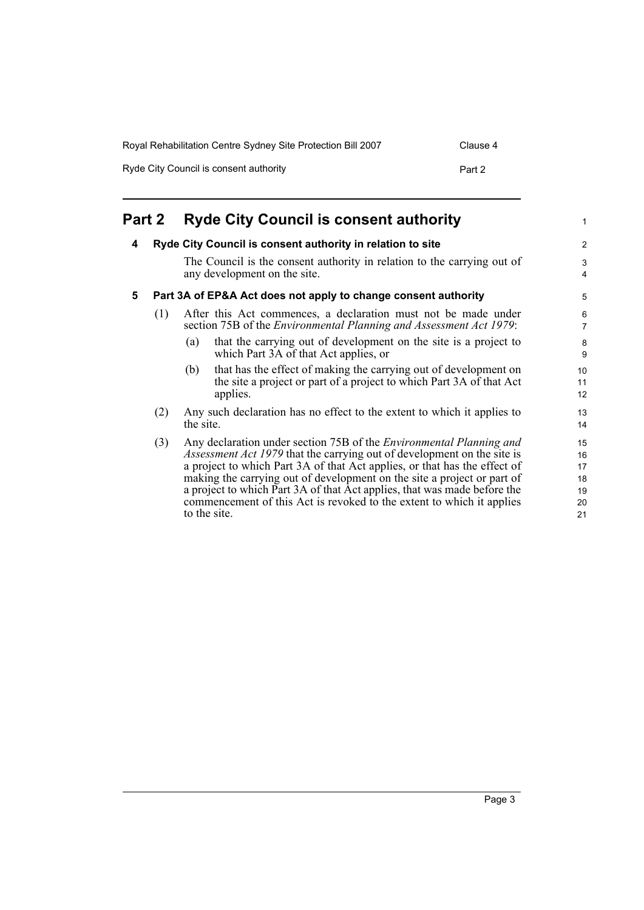| Royal Rehabilitation Centre Sydney Site Protection Bill 2007 | Clause 4 |
|--------------------------------------------------------------|----------|
| Ryde City Council is consent authority                       | Part 2   |

<span id="page-8-2"></span><span id="page-8-1"></span><span id="page-8-0"></span>

| Part 2 |                                                                |              | <b>Ryde City Council is consent authority</b>                                                                                                                                                                                                                                                                                                                                                                                                                             | 1                                      |
|--------|----------------------------------------------------------------|--------------|---------------------------------------------------------------------------------------------------------------------------------------------------------------------------------------------------------------------------------------------------------------------------------------------------------------------------------------------------------------------------------------------------------------------------------------------------------------------------|----------------------------------------|
| 4      |                                                                |              | Ryde City Council is consent authority in relation to site                                                                                                                                                                                                                                                                                                                                                                                                                | $\overline{c}$                         |
|        |                                                                |              | The Council is the consent authority in relation to the carrying out of<br>any development on the site.                                                                                                                                                                                                                                                                                                                                                                   | 3<br>4                                 |
| 5      | Part 3A of EP&A Act does not apply to change consent authority |              | 5                                                                                                                                                                                                                                                                                                                                                                                                                                                                         |                                        |
|        | (1)                                                            |              | After this Act commences, a declaration must not be made under<br>section 75B of the <i>Environmental Planning and Assessment Act 1979</i> :                                                                                                                                                                                                                                                                                                                              | 6<br>7                                 |
|        |                                                                | (a)          | that the carrying out of development on the site is a project to<br>which Part 3A of that Act applies, or                                                                                                                                                                                                                                                                                                                                                                 | 8<br>9                                 |
|        |                                                                | (b)          | that has the effect of making the carrying out of development on<br>the site a project or part of a project to which Part 3A of that Act<br>applies.                                                                                                                                                                                                                                                                                                                      | 10<br>11<br>12                         |
|        | (2)                                                            | the site.    | Any such declaration has no effect to the extent to which it applies to                                                                                                                                                                                                                                                                                                                                                                                                   | 13<br>14                               |
|        | (3)                                                            | to the site. | Any declaration under section 75B of the <i>Environmental Planning and</i><br><i>Assessment Act 1979</i> that the carrying out of development on the site is<br>a project to which Part 3A of that Act applies, or that has the effect of<br>making the carrying out of development on the site a project or part of<br>a project to which Part 3A of that Act applies, that was made before the<br>commencement of this Act is revoked to the extent to which it applies | 15<br>16<br>17<br>18<br>19<br>20<br>21 |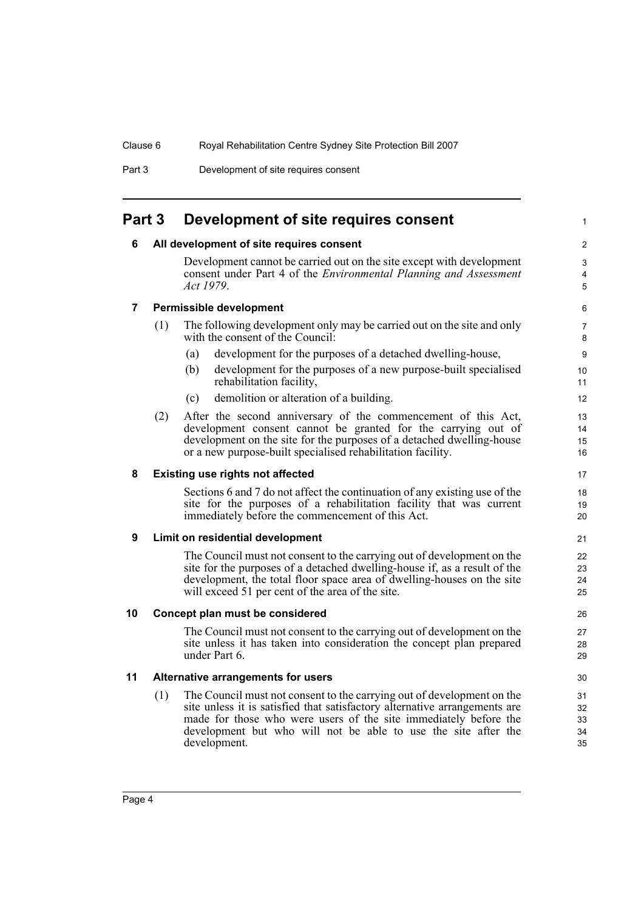Part 3 Development of site requires consent

### <span id="page-9-1"></span><span id="page-9-0"></span>**Part 3 Development of site requires consent**

### **6 All development of site requires consent**

Development cannot be carried out on the site except with development consent under Part 4 of the *Environmental Planning and Assessment Act 1979*.

### <span id="page-9-2"></span>**7 Permissible development**

- (1) The following development only may be carried out on the site and only with the consent of the Council:
	- (a) development for the purposes of a detached dwelling-house,
	- (b) development for the purposes of a new purpose-built specialised rehabilitation facility,
	- (c) demolition or alteration of a building.
- (2) After the second anniversary of the commencement of this Act, development consent cannot be granted for the carrying out of development on the site for the purposes of a detached dwelling-house or a new purpose-built specialised rehabilitation facility.

### <span id="page-9-3"></span>**8 Existing use rights not affected**

Sections 6 and 7 do not affect the continuation of any existing use of the site for the purposes of a rehabilitation facility that was current immediately before the commencement of this Act.

### <span id="page-9-4"></span>**9 Limit on residential development**

The Council must not consent to the carrying out of development on the site for the purposes of a detached dwelling-house if, as a result of the development, the total floor space area of dwelling-houses on the site will exceed 51 per cent of the area of the site.

### <span id="page-9-5"></span>**10 Concept plan must be considered**

The Council must not consent to the carrying out of development on the site unless it has taken into consideration the concept plan prepared under Part 6.

### <span id="page-9-6"></span>**11 Alternative arrangements for users**

(1) The Council must not consent to the carrying out of development on the site unless it is satisfied that satisfactory alternative arrangements are made for those who were users of the site immediately before the development but who will not be able to use the site after the development.

5 6

1

 $\mathfrak{p}$ 3 4

18 19  $20$ 

17

27 28 29

> 30 31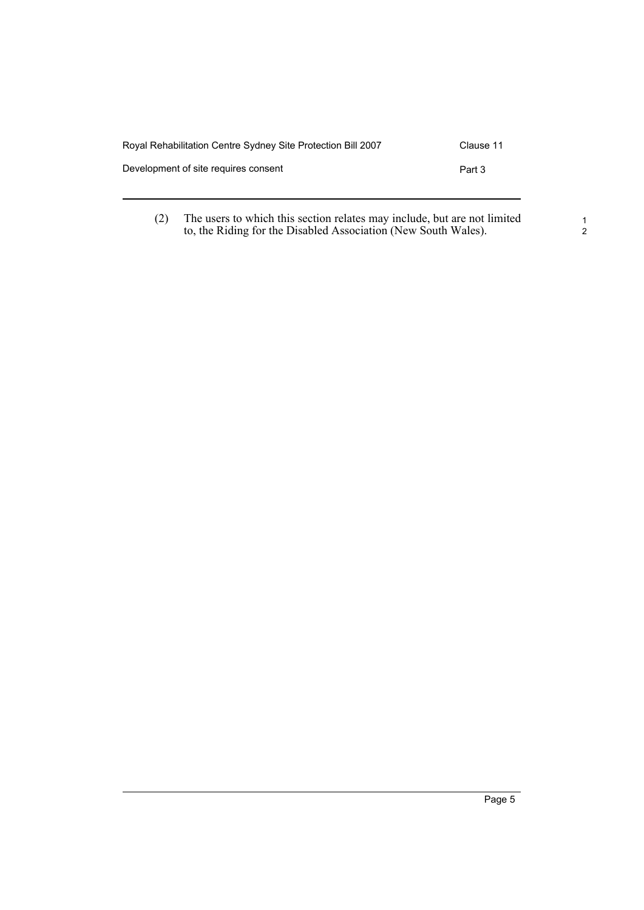| Royal Rehabilitation Centre Sydney Site Protection Bill 2007 | Clause 11 |
|--------------------------------------------------------------|-----------|
| Development of site requires consent                         | Part 3    |
|                                                              |           |

(2) The users to which this section relates may include, but are not limited to, the Riding for the Disabled Association (New South Wales).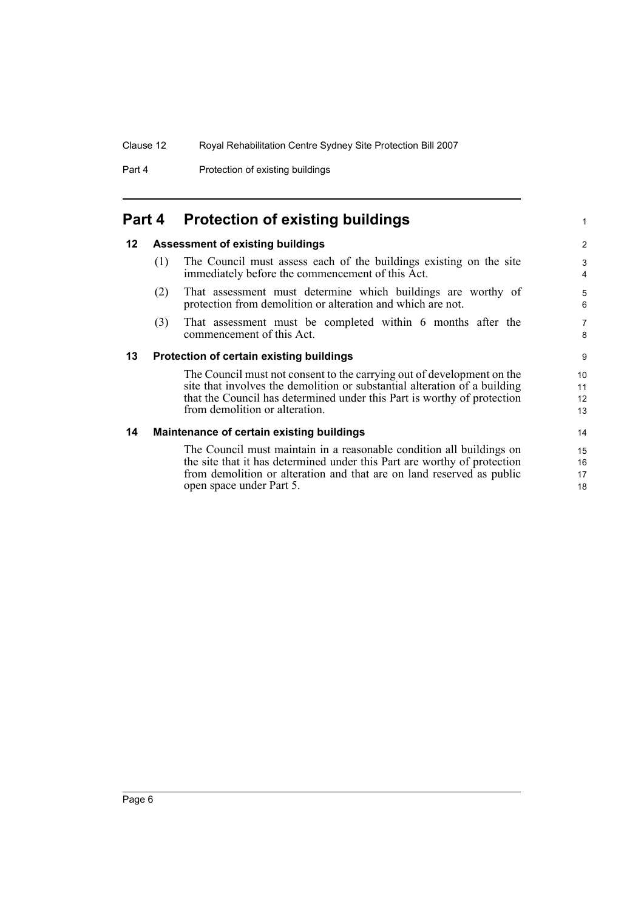Part 4 **Protection of existing buildings** 

## <span id="page-11-0"></span>**Part 4 Protection of existing buildings**

### <span id="page-11-1"></span>**12 Assessment of existing buildings**

- (1) The Council must assess each of the buildings existing on the site immediately before the commencement of this Act.
- (2) That assessment must determine which buildings are worthy of protection from demolition or alteration and which are not.
- (3) That assessment must be completed within 6 months after the commencement of this Act.

#### <span id="page-11-2"></span>**13 Protection of certain existing buildings**

The Council must not consent to the carrying out of development on the site that involves the demolition or substantial alteration of a building that the Council has determined under this Part is worthy of protection from demolition or alteration.

#### <span id="page-11-3"></span>**14 Maintenance of certain existing buildings**

The Council must maintain in a reasonable condition all buildings on the site that it has determined under this Part are worthy of protection from demolition or alteration and that are on land reserved as public open space under Part 5.

8 9

1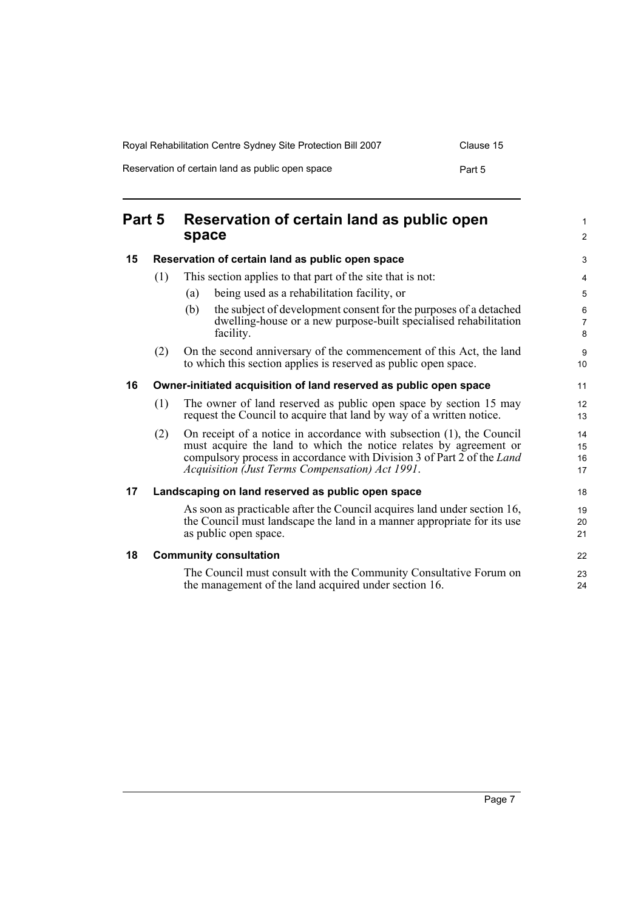| Royal Rehabilitation Centre Sydney Site Protection Bill 2007 | Clause 15 |
|--------------------------------------------------------------|-----------|
| Reservation of certain land as public open space             | Part 5    |

<span id="page-12-4"></span><span id="page-12-3"></span><span id="page-12-2"></span><span id="page-12-1"></span><span id="page-12-0"></span>

| Part 5 |                                                                   | Reservation of certain land as public open<br>space                                                                                                                                                                                                                     |                      |
|--------|-------------------------------------------------------------------|-------------------------------------------------------------------------------------------------------------------------------------------------------------------------------------------------------------------------------------------------------------------------|----------------------|
| 15     |                                                                   | Reservation of certain land as public open space                                                                                                                                                                                                                        |                      |
|        | (1)                                                               | This section applies to that part of the site that is not:                                                                                                                                                                                                              | 4                    |
|        |                                                                   | being used as a rehabilitation facility, or<br>(a)                                                                                                                                                                                                                      | 5                    |
|        |                                                                   | the subject of development consent for the purposes of a detached<br>(b)<br>dwelling-house or a new purpose-built specialised rehabilitation<br>facility.                                                                                                               | 6<br>7<br>8          |
|        | (2)                                                               | On the second anniversary of the commencement of this Act, the land<br>to which this section applies is reserved as public open space.                                                                                                                                  | 9<br>10              |
| 16     | Owner-initiated acquisition of land reserved as public open space |                                                                                                                                                                                                                                                                         |                      |
|        | (1)                                                               | The owner of land reserved as public open space by section 15 may<br>request the Council to acquire that land by way of a written notice.                                                                                                                               | 12<br>13             |
|        | (2)                                                               | On receipt of a notice in accordance with subsection (1), the Council<br>must acquire the land to which the notice relates by agreement or<br>compulsory process in accordance with Division 3 of Part 2 of the Land<br>Acquisition (Just Terms Compensation) Act 1991. | 14<br>15<br>16<br>17 |
| 17     | Landscaping on land reserved as public open space                 |                                                                                                                                                                                                                                                                         | 18                   |
|        |                                                                   | As soon as practicable after the Council acquires land under section 16,<br>the Council must landscape the land in a manner appropriate for its use<br>as public open space.                                                                                            | 19<br>20<br>21       |
| 18     | <b>Community consultation</b>                                     |                                                                                                                                                                                                                                                                         | 22                   |
|        |                                                                   | The Council must consult with the Community Consultative Forum on<br>the management of the land acquired under section 16.                                                                                                                                              | 23<br>24             |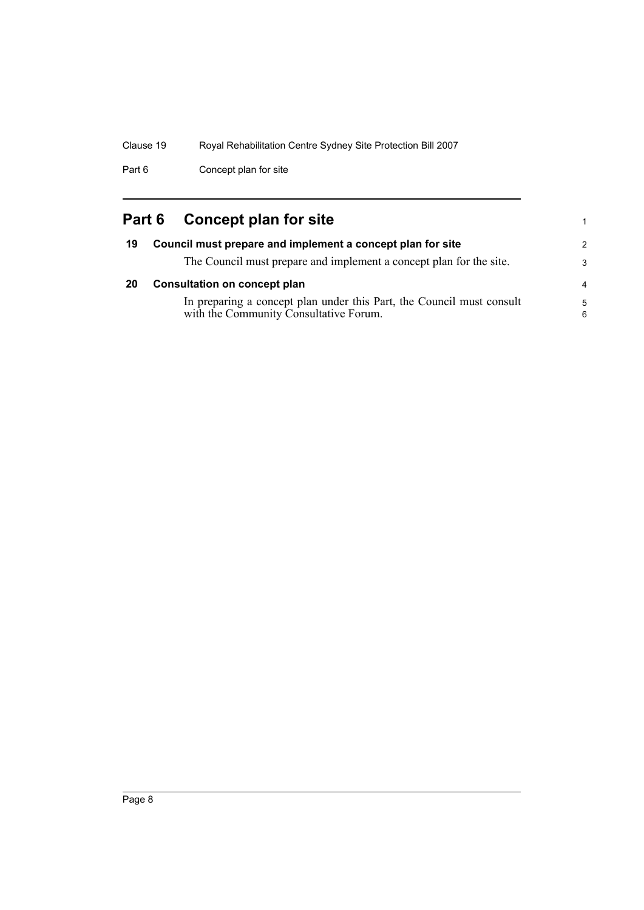Part 6 Concept plan for site

## <span id="page-13-0"></span>**Part 6 Concept plan for site**

<span id="page-13-2"></span><span id="page-13-1"></span>

| 19 | Council must prepare and implement a concept plan for site                                                      | $\mathcal{P}$  |
|----|-----------------------------------------------------------------------------------------------------------------|----------------|
|    | The Council must prepare and implement a concept plan for the site.                                             | 3              |
| 20 | <b>Consultation on concept plan</b>                                                                             | $\overline{a}$ |
|    | In preparing a concept plan under this Part, the Council must consult<br>with the Community Consultative Forum. | 5<br>6         |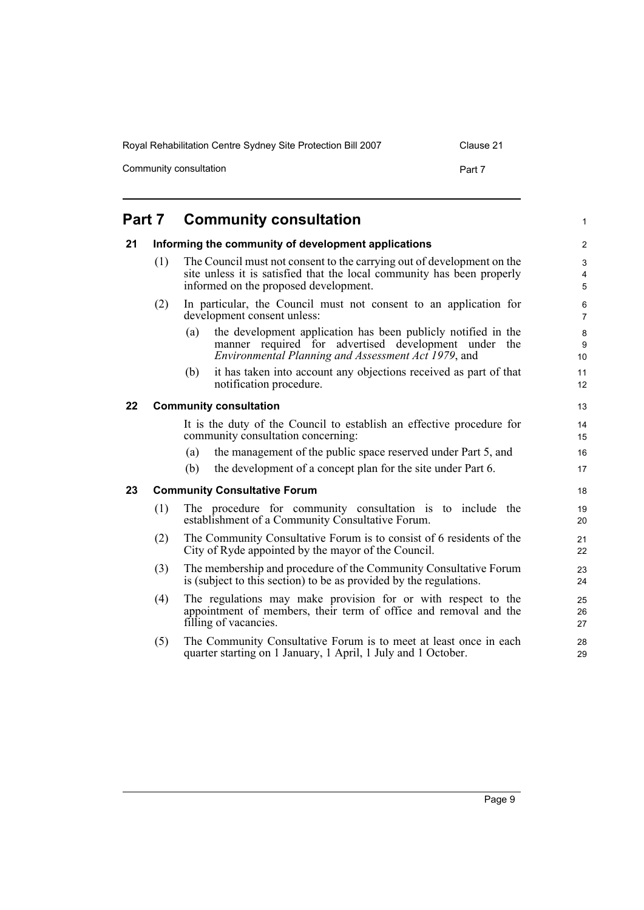Community consultation example of the consultation example of the Part 7

#### <span id="page-14-3"></span><span id="page-14-2"></span><span id="page-14-1"></span><span id="page-14-0"></span>**Part 7 Community consultation 21 Informing the community of development applications** (1) The Council must not consent to the carrying out of development on the site unless it is satisfied that the local community has been properly informed on the proposed development. (2) In particular, the Council must not consent to an application for development consent unless: (a) the development application has been publicly notified in the manner required for advertised development under the *Environmental Planning and Assessment Act 1979*, and (b) it has taken into account any objections received as part of that notification procedure. **22 Community consultation** It is the duty of the Council to establish an effective procedure for community consultation concerning: (a) the management of the public space reserved under Part 5, and (b) the development of a concept plan for the site under Part 6. **23 Community Consultative Forum** (1) The procedure for community consultation is to include the establishment of a Community Consultative Forum. (2) The Community Consultative Forum is to consist of 6 residents of the City of Ryde appointed by the mayor of the Council. (3) The membership and procedure of the Community Consultative Forum is (subject to this section) to be as provided by the regulations. (4) The regulations may make provision for or with respect to the appointment of members, their term of office and removal and the filling of vacancies. (5) The Community Consultative Forum is to meet at least once in each quarter starting on 1 January, 1 April, 1 July and 1 October. 1  $\overline{2}$ 3 4 5 6 7 8 9 10 11 12 13 14 15 16 17 18 19 20 21 22 23  $24$ 25 26 27 28 29